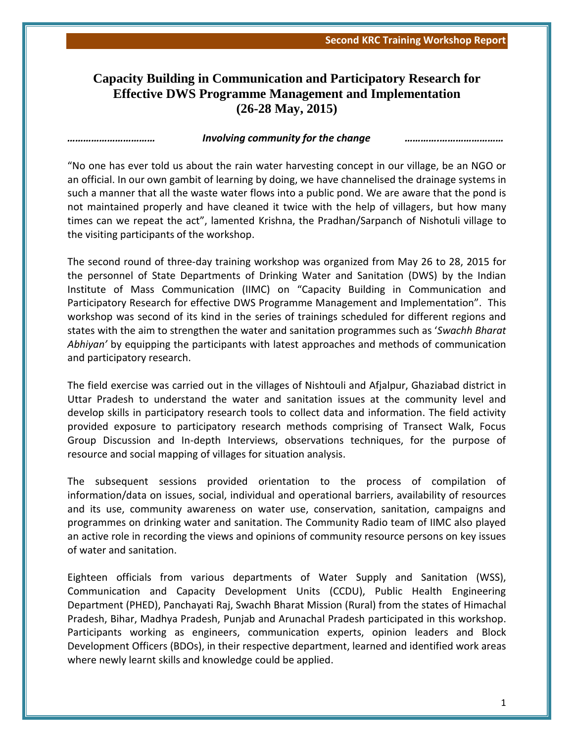## **Capacity Building in Communication and Participatory Research for Effective DWS Programme Management and Implementation (26-28 May, 2015)**

## *…………………………… Involving community for the change ………….……………………*

"No one has ever told us about the rain water harvesting concept in our village, be an NGO or an official. In our own gambit of learning by doing, we have channelised the drainage systems in such a manner that all the waste water flows into a public pond. We are aware that the pond is not maintained properly and have cleaned it twice with the help of villagers, but how many times can we repeat the act", lamented Krishna, the Pradhan/Sarpanch of Nishotuli village to the visiting participants of the workshop.

The second round of three-day training workshop was organized from May 26 to 28, 2015 for the personnel of State Departments of Drinking Water and Sanitation (DWS) by the Indian Institute of Mass Communication (IIMC) on "Capacity Building in Communication and Participatory Research for effective DWS Programme Management and Implementation". This workshop was second of its kind in the series of trainings scheduled for different regions and states with the aim to strengthen the water and sanitation programmes such as '*Swachh Bharat Abhiyan'* by equipping the participants with latest approaches and methods of communication and participatory research.

The field exercise was carried out in the villages of Nishtouli and Afjalpur, Ghaziabad district in Uttar Pradesh to understand the water and sanitation issues at the community level and develop skills in participatory research tools to collect data and information. The field activity provided exposure to participatory research methods comprising of Transect Walk, Focus Group Discussion and In-depth Interviews, observations techniques, for the purpose of resource and social mapping of villages for situation analysis.

The subsequent sessions provided orientation to the process of compilation of information/data on issues, social, individual and operational barriers, availability of resources and its use, community awareness on water use, conservation, sanitation, campaigns and programmes on drinking water and sanitation. The Community Radio team of IIMC also played an active role in recording the views and opinions of community resource persons on key issues of water and sanitation.

Eighteen officials from various departments of Water Supply and Sanitation (WSS), Communication and Capacity Development Units (CCDU), Public Health Engineering Department (PHED), Panchayati Raj, Swachh Bharat Mission (Rural) from the states of Himachal Pradesh, Bihar, Madhya Pradesh, Punjab and Arunachal Pradesh participated in this workshop. Participants working as engineers, communication experts, opinion leaders and Block Development Officers (BDOs), in their respective department, learned and identified work areas where newly learnt skills and knowledge could be applied.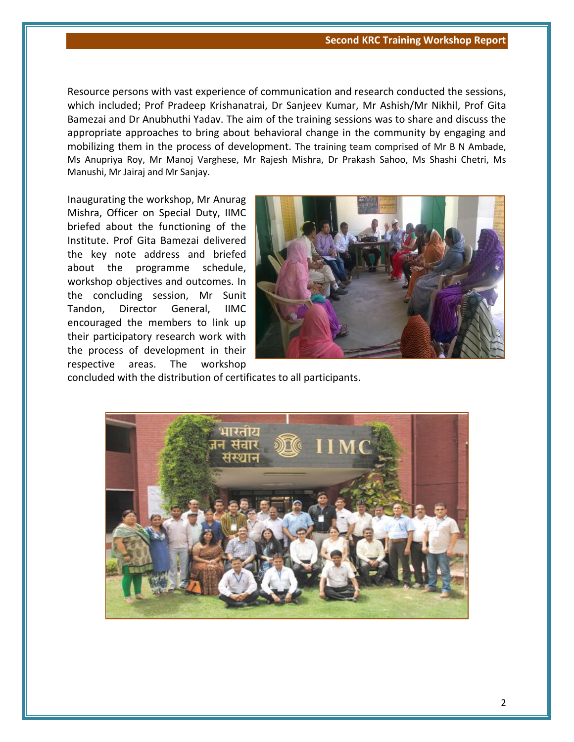Resource persons with vast experience of communication and research conducted the sessions, which included; Prof Pradeep Krishanatrai, Dr Sanjeev Kumar, Mr Ashish/Mr Nikhil, Prof Gita Bamezai and Dr Anubhuthi Yadav. The aim of the training sessions was to share and discuss the appropriate approaches to bring about behavioral change in the community by engaging and mobilizing them in the process of development. The training team comprised of Mr B N Ambade, Ms Anupriya Roy, Mr Manoj Varghese, Mr Rajesh Mishra, Dr Prakash Sahoo, Ms Shashi Chetri, Ms Manushi, Mr Jairaj and Mr Sanjay.

Inaugurating the workshop, Mr Anurag Mishra, Officer on Special Duty, IIMC briefed about the functioning of the Institute. Prof Gita Bamezai delivered the key note address and briefed about the programme schedule, workshop objectives and outcomes. In the concluding session, Mr Sunit Tandon, Director General, IIMC encouraged the members to link up their participatory research work with the process of development in their respective areas. The workshop



concluded with the distribution of certificates to all participants.